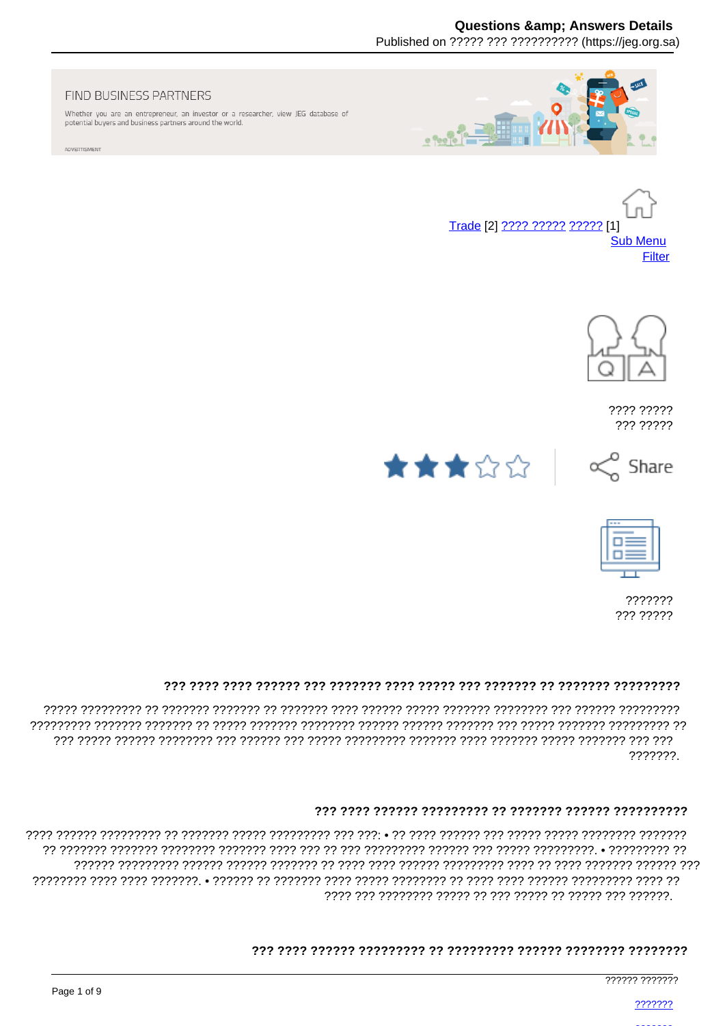# **Questions & Answers Details**

Published on ????? ??? ?????????? (https://ieg.org.sa)

#### FIND BUSINESS PARTNERS

Whether you are an entrepreneur, an investor or a researcher, view JEG database of potential buyers and business partners around the world.

ADVERTISMENT







???? ????? ??? ?????







??????? ??? ?????

#### 

???????.

#### 

, המממממ המממממי הממממ מממממי הממממי מממי הממיד הממוד המממממי המממי הממממי המיד המממממי הממממי המממי ררר רררררר רררררר רררר רר ררר ררר ררררורר ררררור רררר רררך רררך רך ררררררך רררררך רררררך ררררורך ררררוך 

#### 

777777 7777777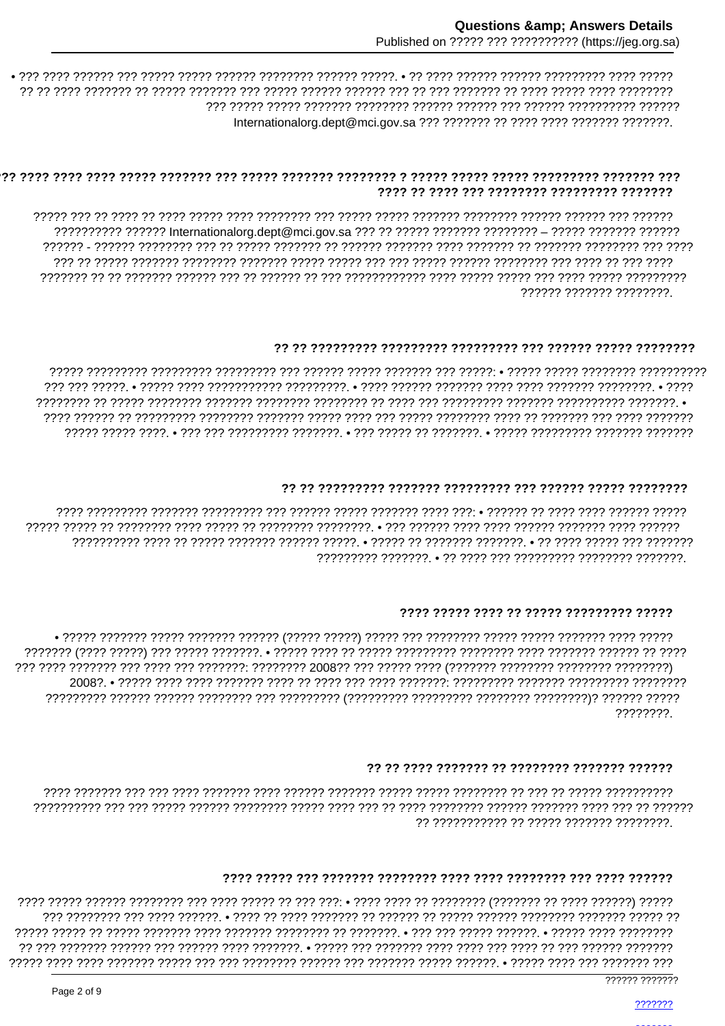### 

?????? ??????? ????????

#### 

• ודרדרדר ררדרדרדר ררדרדר ררדרדר רדרדרדר רדר רדר רדר רך ררדרדרדר ררדרדרך רדרדרדר ררדרדרדרך רדרדר רד רדרדרדרך 

### 

# 

????????.

# 

# 

7777 ודרדר ודרכול דרך דר דרכולין ודרכוליו דר דרכו דרכו • דרך ירכו דרך דר דרכו דרכו דרך דרכוליון דרכול דרכול דר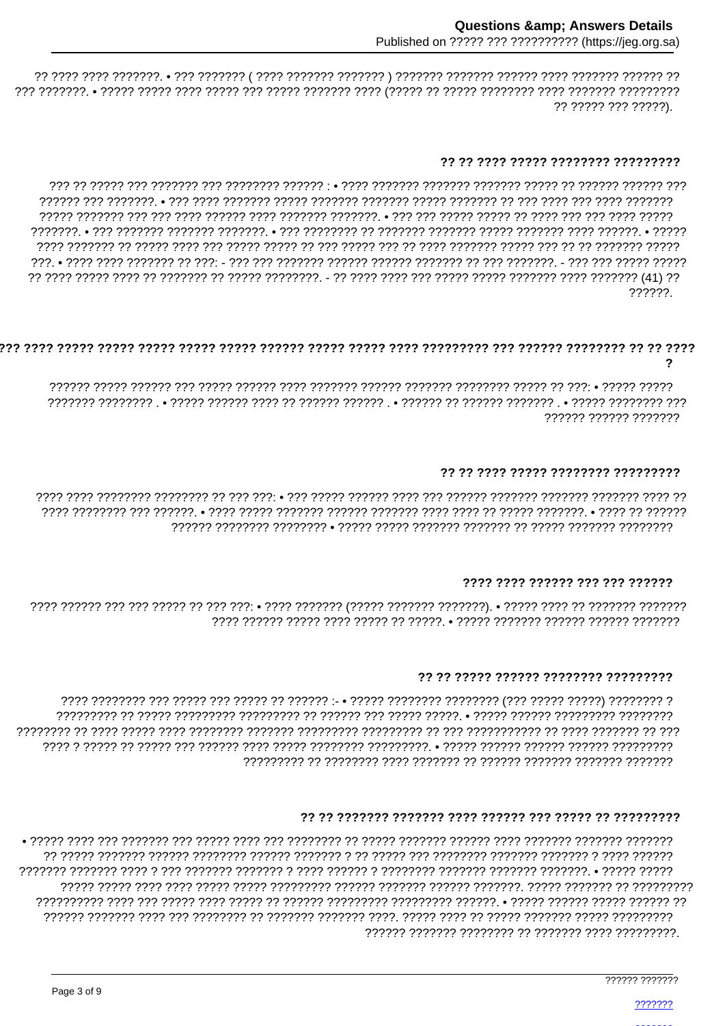?? ????? ??? ?????).

#### ?? ?? ???? ????? ???????? ?????????

ררררר ררררררר רך רך ררך ררררך ררכורך ררכוך רך ררך ררכון ררכון רך רך ררכוך ררכוך ררך ררכון ררכוך רך ררכוררך ררכ , 200 בדרכר דרכ בין בירות המיני המינון בירוד ברוד ברוד ברודר ברודר ברוד בירוד המינון בירוד ברודר ברוד ברוד בר 07 ו41) דרדרדרד דרדר דרדרד דרדרד דרדרד דרדר דרד דרד דרד דרד ב- דרדרדרד דרדי דר דרדרד דר דרדר דרדרד דרדר דרד ד 222222

### $\mathbf{\Omega}$

rest cereces estably • 1999 - 1999 - 1999 - 1999 - 1999 - 1999 - 1999 - 1999 - 1999 - 1999 - 1999 - 1999 - 199 ?????? ?????? ???????

### ?? ?? ???? ????? ???????? ?????????

# 7777 7777 777777 777 777 777777

#### 77 77 77777 777777 77777777 777777777

#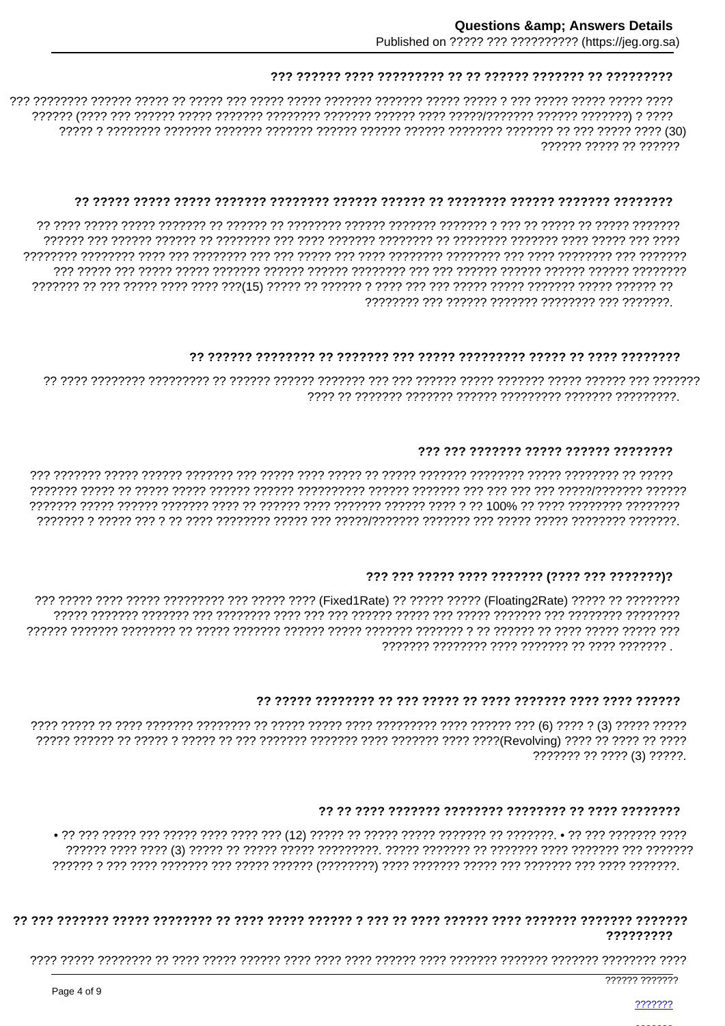777777 77777 77 777777

### 

### 

### 777 777 7777777 77777 777777 77777777

#### 

#### 

??????? ?? ???? (3) ?????

#### 

# 777777777

777777 7777777

???????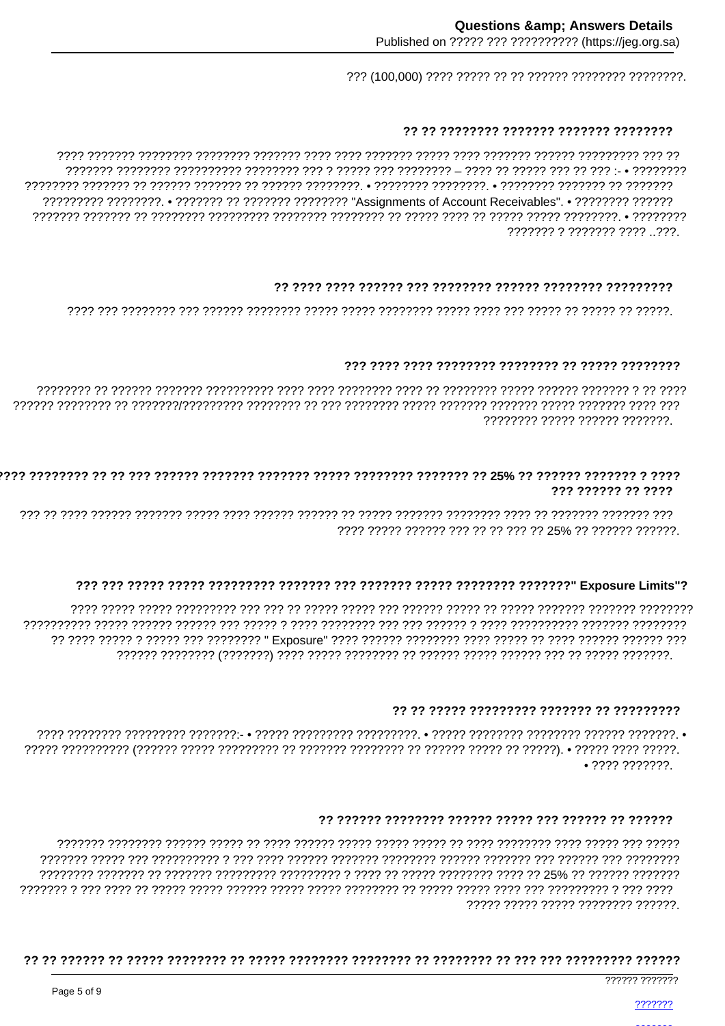# 

רר ררר ררכדררכרר ררכבר ררכבית הרכבית רכבית ררכבית ררכבית רכבית רכבית רבכבית רכבית הרכבית הרכבית רכבית רכבי ??????? ? ??????? ???? ..???.

# 

<u>ומממן מן מממן ממון מממן מממן מממן ממממן מממממן מממל מממממנות ממממל ממן ממממממן ממן מממן </u>

# 

???????? ????? ?????? ???????.

### 777 777777 77 7777

ררר ררררררר רררררר רך רררך רררך ררכבור להרכבור ררכבור רך ררכבור ררכבור ררכבו ררכבו ררכבור ררכבור בירכבו לך רכב 7777 77777 777777 777 77 77 77 77 78% 77 77777 777777 77777

# 

2222 22222 22222 222222222 222 222 22232 22232 2223 22232 2224 2224 2224 2224 2224 2224 2224 2224 2234 2234 2 

#### 

 $• 7777 777777?$ 

#### 

רררררררר ררך ררררר ררך דרכה להרכבי הררכבי הרכבורר בררכבי ברכבי הרכב לכל לכל הרכבורכבים לכל הרכבי ברכביד ????? ????? ????? ???????? ??????

#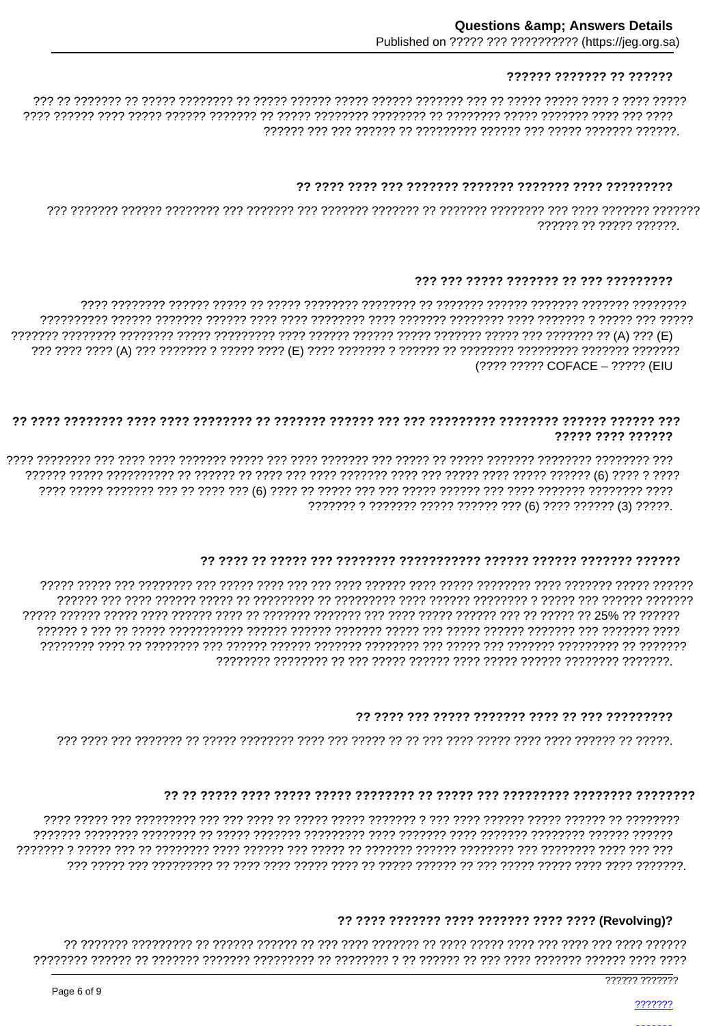# ?????? ??????? ?? ??????

רררר ררר רררר ררכבר ררכבר ררכבר ררכבר רר ררכבר לרכבר הרכברכך ררכבר רך רכברכבר רכברכך רכבר ברכב רכבר כ 

### 

777777 77 77777 777777

### ??? ??? ????? ??????? ?? ??? ?????????

דרדרד רדר דרדרד ר דרדרדרד רדרד דרדרדד רדרדרד רדרד רדרד רדרד רדרד רדרד רדרד רדרד רדרדרד רדרדרד רדרדרד רדרדרד (???? ????? COFACE - ????? (EIU

### 77777 7777 777777

7777 777777 7777777 דרך דרך דרך דרך לחובר לרך לכך לכך לכך לכך לכך לכך (6) לכך לכך לכך לכך לכך לכך לכך לכך לכך ל 

#### 

# 

#### 

ררר ררר רררר רררר הררכול ררך ררכולורר הררכול הררכול רך ררכול ררך ררכול ררכו לררכולל רך ררך הרכול ר 

# ?? ???? ??????? ???? ??????? ???? ???? (Revolving)?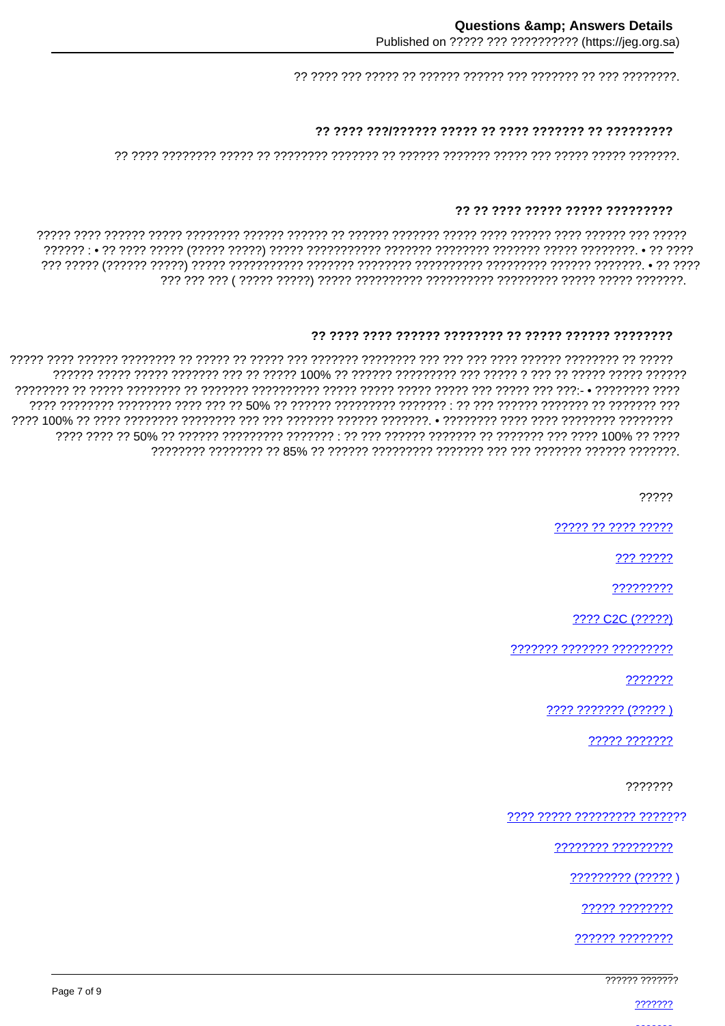### 

#### ?? ?? ???? ????? ????? ?????????

#### 

?????

????? ?? ???? ?????

??? ?????

?????????

???? C2C (?????)

??????? ??????? ?????????

???????

???? ??????? (????? )

????? ???????

???????

???? ????? ????????? ???????

???????? ?????????

????????? (????? )

????? ????????

?????? ????????

777777 7777777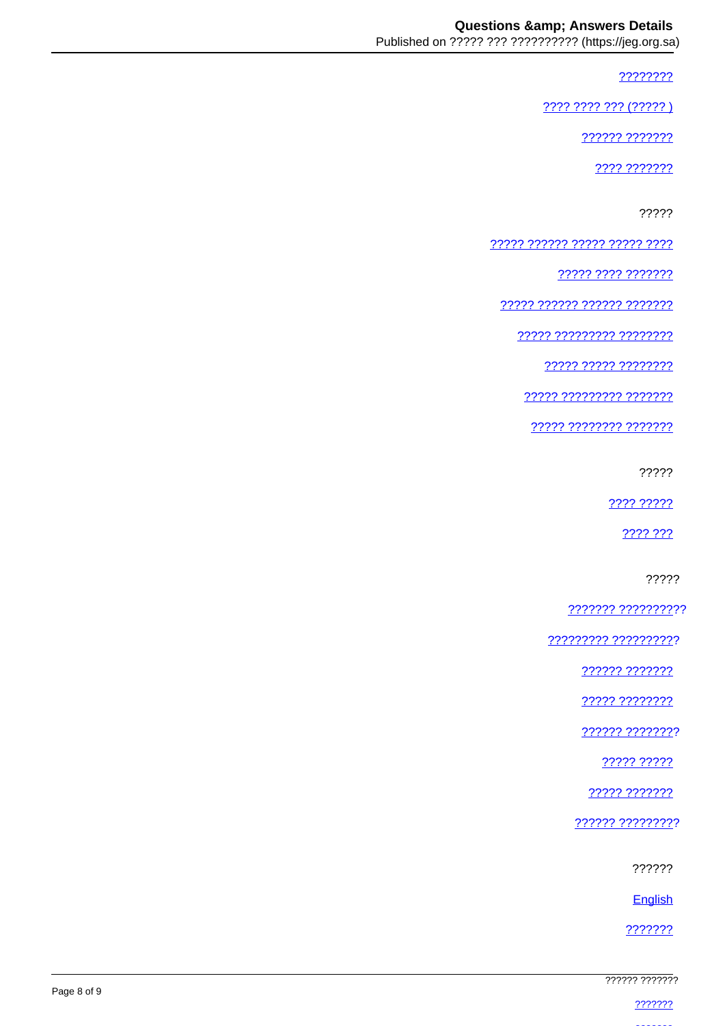????????

???? ???? ??? (????? )

?????? ???????

???? ???????

?????

77777 777777 77777 77777 7777

????? ???? ???????

????? ?????? ?????? ???????

77777 777777777 77777777

77777 77777 77777777

77777 777777777 7777777

????? ???????? ???????

?????

2222 22222

???? ???

?????

??????? ??????????

<u> ????????? ??????????</u>

?????? ???????

????? ????????

?????? ????????

22222 22222

????? ???????

?????? ?????????

??????

English

???????

| ?????? ??????? |
|----------------|
|                |
| ???????        |